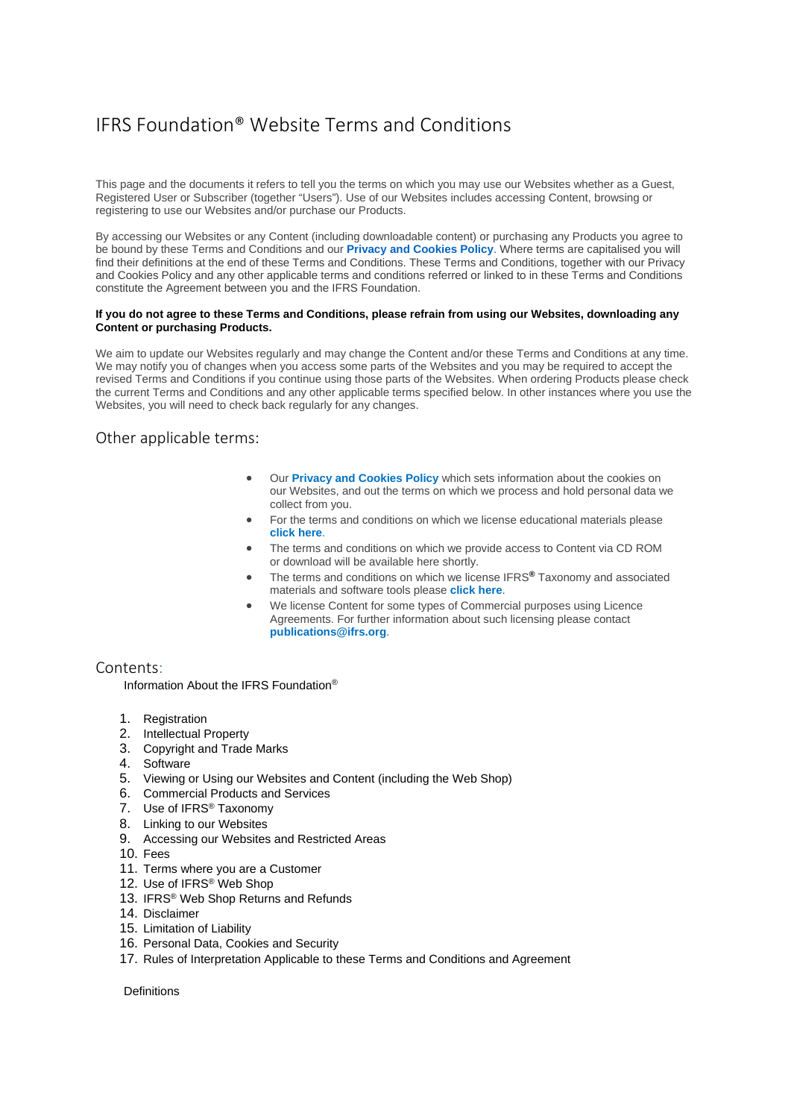# IFRS Foundation® Website Terms and Conditions

This page and the documents it refers to tell you the terms on which you may use our Websites whether as a Guest, Registered User or Subscriber (together "Users"). Use of our Websites includes accessing Content, browsing or registering to use our Websites and/or purchase our Products.

By accessing our Websites or any Content (including downloadable content) or purchasing any Products you agree to be bound by these Terms and Conditions and our **Privacy [and Cookies Policy](http://www.ifrs.org/legal/privacy/)**. Where terms are capitalised you will find their definitions at the end of these Terms and Conditions. These Terms and Conditions, together with our Privacy and Cookies Policy and any other applicable terms and conditions referred or linked to in these Terms and Conditions constitute the Agreement between you and the IFRS Foundation.

#### **If you do not agree to these Terms and Conditions, please refrain from using our Websites, downloading any Content or purchasing Products.**

We aim to update our Websites regularly and may change the Content and/or these Terms and Conditions at any time. We may notify you of changes when you access some parts of the Websites and you may be required to accept the revised Terms and Conditions if you continue using those parts of the Websites. When ordering Products please check the current Terms and Conditions and any other applicable terms specified below. In other instances where you use the Websites, you will need to check back regularly for any changes.

## Other applicable terms:

- Our **Privacy and [Cookies](http://www.ifrs.org/legal/privacy/) Policy** which sets information about the cookies on our Websites, and out the terms on which we process and hold personal data we collect from you.
- For the terms and conditions on which we license educational materials please **[click](http://www.ifrs.org/legal/education-material-licensing/) here**.
- The terms and conditions on which we provide access to Content via CD ROM or download will be available here shortly.
- The terms and conditions on which we license IFRS**®** Taxonomy and associated materials and software tools please **[click](http://www.ifrs.org/legal/education-material-licensing/) here**.
- We license Content for some types of Commercial purposes using Licence Agreements. For further information about such licensing please contact **[publications@ifrs.org](mailto:publications@ifrs.org)**.

## Contents:

Information About the IFRS Foundation®

- 1. Registration
- 2. Intellectual Property
- 3. Copyright and Trade Marks
- 4. Software
- 5. Viewing or Using our Websites and Content (including the Web Shop)
- 6. Commercial Products and Services
- 7. Use of IFRS® Taxonomy
- 8. Linking to our Websites
- 9. Accessing our Websites and Restricted Areas
- 10. Fees
- 11. Terms where you are a Customer
- 12. Use of IFRS® Web Shop
- 13. IFRS<sup>®</sup> Web Shop Returns and Refunds
- 14. Disclaimer
- 15. Limitation of Liability
- 16. Personal Data, Cookies and Security
- 17. Rules of Interpretation Applicable to these Terms and Conditions and Agreement

**Definitions**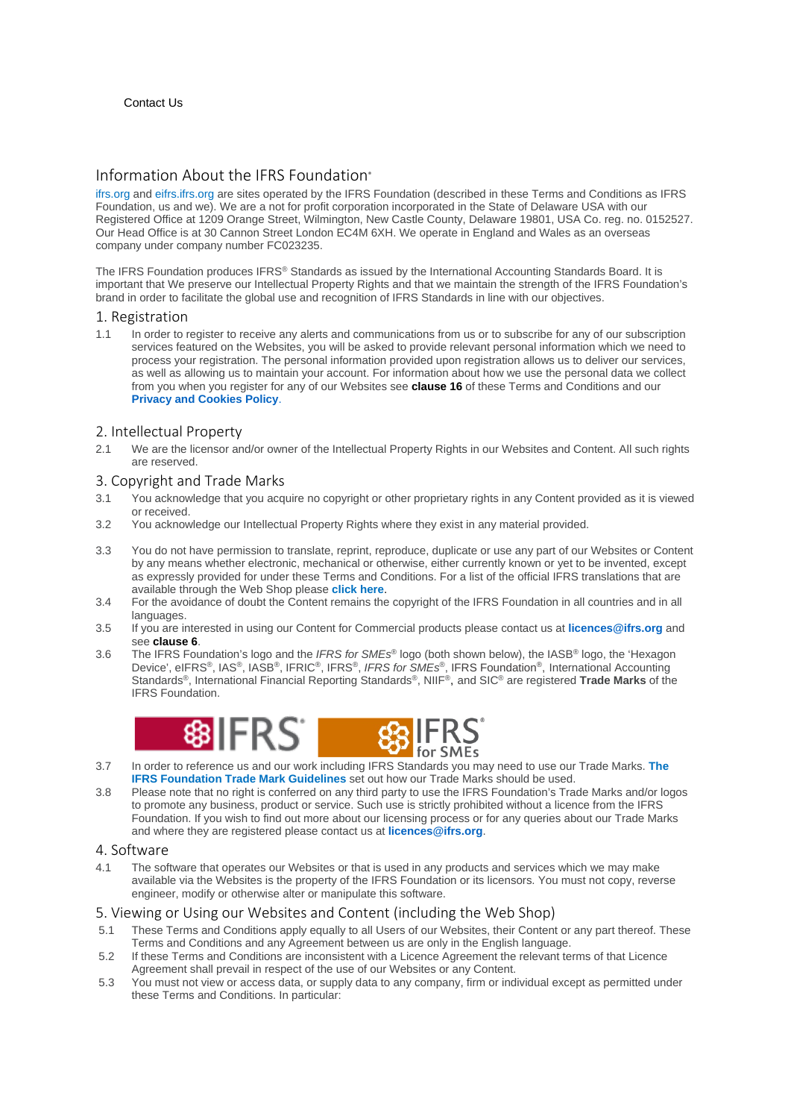# Information About the IFRS Foundation®

[ifrs.org](http://www.ifrs.org/) and [eifrs.ifrs.org](http://eifrs.ifrs.org/) are sites operated by the IFRS Foundation (described in these Terms and Conditions as IFRS Foundation, us and we). We are a not for profit corporation incorporated in the State of Delaware USA with our Registered Office at 1209 Orange Street, Wilmington, New Castle County, Delaware 19801, USA Co. reg. no. 0152527. Our Head Office is at 30 Cannon Street London EC4M 6XH. We operate in England and Wales as an overseas company under company number FC023235.

The IFRS Foundation produces IFRS® Standards as issued by the International Accounting Standards Board. It is important that We preserve our Intellectual Property Rights and that we maintain the strength of the IFRS Foundation's brand in order to facilitate the global use and recognition of IFRS Standards in line with our objectives.

#### 1. Registration

1.1 In order to register to receive any alerts and communications from us or to subscribe for any of our subscription services featured on the Websites, you will be asked to provide relevant personal information which we need to process your registration. The personal information provided upon registration allows us to deliver our services, as well as allowing us to maintain your account. For information about how we use the personal data we collect from you when you register for any of our Websites see **clause 16** of these Terms and Conditions and our **[Privacy and Cookies Policy](http://www.ifrs.org/legal/privacy/)**.

## 2. Intellectual Property

2.1 We are the licensor and/or owner of the Intellectual Property Rights in our Websites and Content. All such rights are reserved.

## 3. Copyright and Trade Marks

- 3.1 You acknowledge that you acquire no copyright or other proprietary rights in any Content provided as it is viewed or received.
- 3.2 You acknowledge our Intellectual Property Rights where they exist in any material provided.
- 3.3 You do not have permission to translate, reprint, reproduce, duplicate or use any part of our Websites or Content by any means whether electronic, mechanical or otherwise, either currently known or yet to be invented, except as expressly provided for under these Terms and Conditions. For a list of the official IFRS translations that are available through the Web Shop please **[click](http://www.ifrs.org/issued-standards/ifrs-translations/#unaccompanied-standards-interpretations) here**.
- 3.4 For the avoidance of doubt the Content remains the copyright of the IFRS Foundation in all countries and in all languages.
- 3.5 If you are interested in using our Content for Commercial products please contact us at **[licences@ifrs.org](mailto:licences@ifrs.org)** and see **clause 6**.
- 3.6 The IFRS Foundation's logo and the *IFRS for SMEs*® logo (both shown below), the IASB® logo, the 'Hexagon Device', eIFRS®, IAS®, IASB®, IFRIC®, IFRS®, *IFRS for SMEs*®, IFRS Foundation®, International Accounting Standards®, International Financial Reporting Standards®, NIIF®, and SIC® are registered **Trade Marks** of the IFRS Foundation.



- 3.7 In order to reference us and our work including IFRS Standards you may need to use our Trade Marks. **[The](http://www.ifrs.org/-/media/feature/about-us/legal-and-governance/legal-docs/trade-mark-guidelines.pdf) IFRS [Foundation](http://www.ifrs.org/-/media/feature/about-us/legal-and-governance/legal-docs/trade-mark-guidelines.pdf) Trade Mark Guidelines** set out how our Trade Marks should be used.
- 3.8 Please note that no right is conferred on any third party to use the IFRS Foundation's Trade Marks and/or logos to promote any business, product or service. Such use is strictly prohibited without a licence from the IFRS Foundation. If you wish to find out more about our licensing process or for any queries about our Trade Marks and where they are registered please contact us at **[licences@ifrs.org](mailto:licences@ifrs.org)**.

## 4. Software

4.1 The software that operates our Websites or that is used in any products and services which we may make available via the Websites is the property of the IFRS Foundation or its licensors. You must not copy, reverse engineer, modify or otherwise alter or manipulate this software.

## 5. Viewing or Using our Websites and Content (including the Web Shop)

- 5.1 These Terms and Conditions apply equally to all Users of our Websites, their Content or any part thereof. These Terms and Conditions and any Agreement between us are only in the English language.
- 5.2 If these Terms and Conditions are inconsistent with a Licence Agreement the relevant terms of that Licence Agreement shall prevail in respect of the use of our Websites or any Content.
- 5.3 You must not view or access data, or supply data to any company, firm or individual except as permitted under these Terms and Conditions. In particular: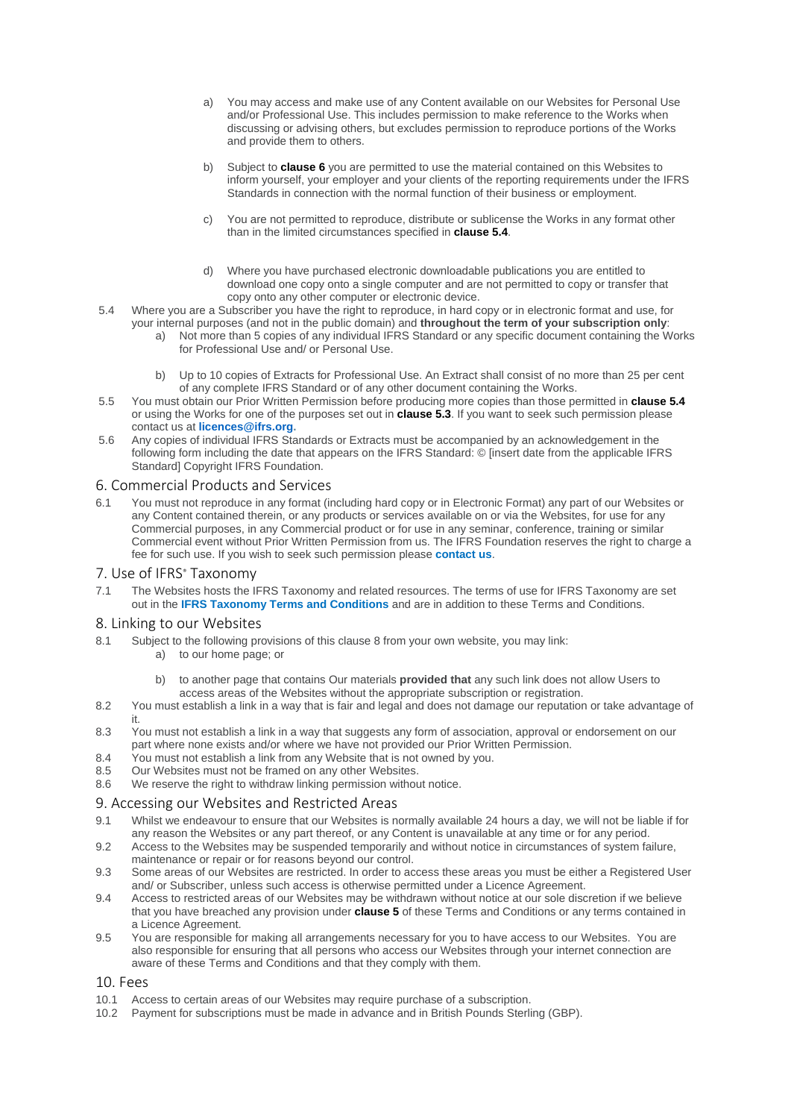- a) You may access and make use of any Content available on our Websites for Personal Use and/or Professional Use. This includes permission to make reference to the Works when discussing or advising others, but excludes permission to reproduce portions of the Works and provide them to others.
- b) Subject to **clause 6** you are permitted to use the material contained on this Websites to inform yourself, your employer and your clients of the reporting requirements under the IFRS Standards in connection with the normal function of their business or employment.
- c) You are not permitted to reproduce, distribute or sublicense the Works in any format other than in the limited circumstances specified in **clause 5.4**.
- d) Where you have purchased electronic downloadable publications you are entitled to download one copy onto a single computer and are not permitted to copy or transfer that copy onto any other computer or electronic device.
- 5.4 Where you are a Subscriber you have the right to reproduce, in hard copy or in electronic format and use, for your internal purposes (and not in the public domain) and **throughout the term of your subscription only**:
	- a) Not more than 5 copies of any individual IFRS Standard or any specific document containing the Works for Professional Use and/ or Personal Use.
	- b) Up to 10 copies of Extracts for Professional Use. An Extract shall consist of no more than 25 per cent of any complete IFRS Standard or of any other document containing the Works.
- 5.5 You must obtain our Prior Written Permission before producing more copies than those permitted in **clause 5.4** or using the Works for one of the purposes set out in **clause 5.3**. If you want to seek such permission please contact us at **[licences@ifrs.org.](mailto:licences@ifrs.org)**
- 5.6 Any copies of individual IFRS Standards or Extracts must be accompanied by an acknowledgement in the following form including the date that appears on the IFRS Standard: © [insert date from the applicable IFRS Standard] Copyright IFRS Foundation.

#### 6. Commercial Products and Services

6.1 You must not reproduce in any format (including hard copy or in Electronic Format) any part of our Websites or any Content contained therein, or any products or services available on or via the Websites, for use for any Commercial purposes, in any Commercial product or for use in any seminar, conference, training or similar Commercial event without Prior Written Permission from us. The IFRS Foundation reserves the right to charge a fee for such use. If you wish to seek such permission please **[contact](mailto:licences@ifrs.org) us**.

#### 7. Use of IFRS<sup>®</sup> Taxonomy

7.1 The Websites hosts the IFRS Taxonomy and related resources. The terms of use for IFRS Taxonomy are set out in the **IFRS Taxonomy Terms and [Conditions](http://archive.ifrs.org/XBRL/Legal/Pages/Legal.aspx)** and are in addition to these Terms and Conditions.

#### 8. Linking to our Websites

- 8.1 Subject to the following provisions of this clause 8 from your own website, you may link:
	- a) to our home page; or
	- b) to another page that contains Our materials **provided that** any such link does not allow Users to access areas of the Websites without the appropriate subscription or registration.
- 8.2 You must establish a link in a way that is fair and legal and does not damage our reputation or take advantage of it.
- 8.3 You must not establish a link in a way that suggests any form of association, approval or endorsement on our part where none exists and/or where we have not provided our Prior Written Permission.
- 8.4 You must not establish a link from any Website that is not owned by you.
- 8.5 Our Websites must not be framed on any other Websites.<br>8.6 We reserve the right to withdraw linking permission withou
- We reserve the right to withdraw linking permission without notice.

## 9. Accessing our Websites and Restricted Areas

- 9.1 Whilst we endeavour to ensure that our Websites is normally available 24 hours a day, we will not be liable if for any reason the Websites or any part thereof, or any Content is unavailable at any time or for any period.
- 9.2 Access to the Websites may be suspended temporarily and without notice in circumstances of system failure, maintenance or repair or for reasons beyond our control.
- 9.3 Some areas of our Websites are restricted. In order to access these areas you must be either a Registered User and/ or Subscriber, unless such access is otherwise permitted under a Licence Agreement.
- 9.4 Access to restricted areas of our Websites may be withdrawn without notice at our sole discretion if we believe that you have breached any provision under **clause 5** of these Terms and Conditions or any terms contained in a Licence Agreement.
- 9.5 You are responsible for making all arrangements necessary for you to have access to our Websites. You are also responsible for ensuring that all persons who access our Websites through your internet connection are aware of these Terms and Conditions and that they comply with them.

## 10. Fees

- 10.1 Access to certain areas of our Websites may require purchase of a subscription.
- 10.2 Payment for subscriptions must be made in advance and in British Pounds Sterling (GBP).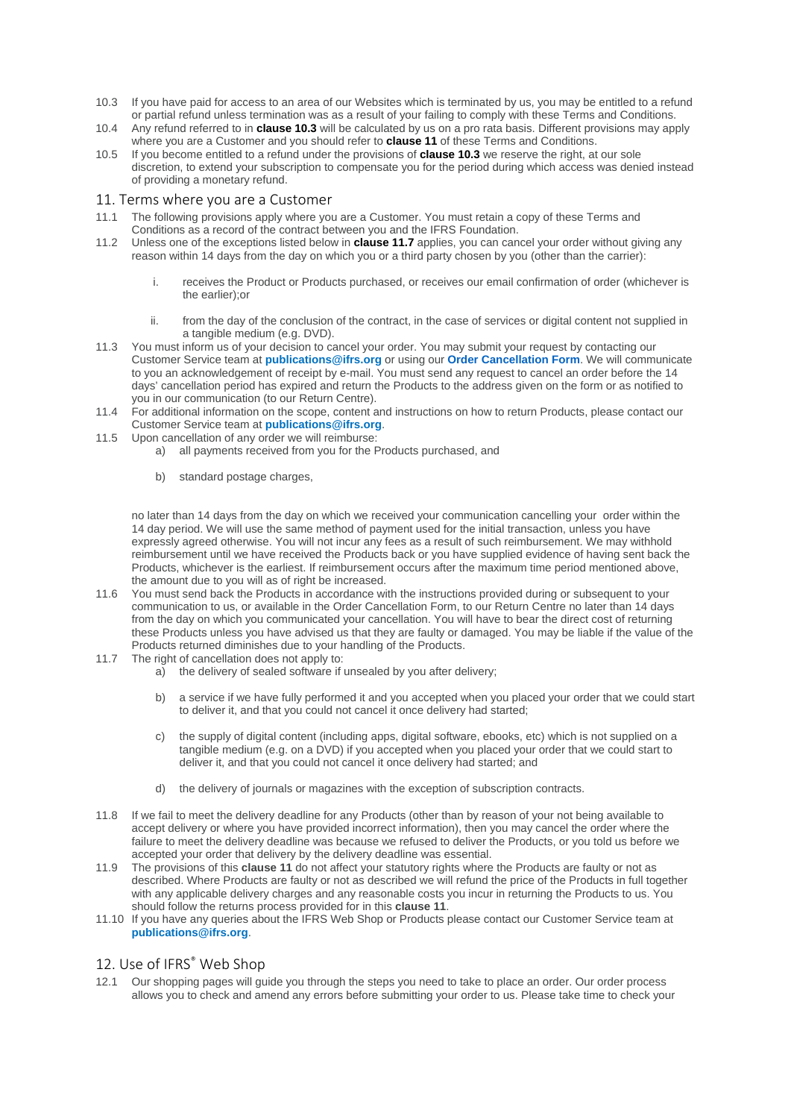- 10.3 If you have paid for access to an area of our Websites which is terminated by us, you may be entitled to a refund or partial refund unless termination was as a result of your failing to comply with these Terms and Conditions.
- 10.4 Any refund referred to in **clause 10.3** will be calculated by us on a pro rata basis. Different provisions may apply where you are a Customer and you should refer to **clause 11** of these Terms and Conditions.
- 10.5 If you become entitled to a refund under the provisions of **clause 10.3** we reserve the right, at our sole discretion, to extend your subscription to compensate you for the period during which access was denied instead of providing a monetary refund.

#### 11. Terms where you are a Customer

- 11.1 The following provisions apply where you are a Customer. You must retain a copy of these Terms and Conditions as a record of the contract between you and the IFRS Foundation.
- 11.2 Unless one of the exceptions listed below in **clause 11.7** applies, you can cancel your order without giving any reason within 14 days from the day on which you or a third party chosen by you (other than the carrier):
	- i. receives the Product or Products purchased, or receives our email confirmation of order (whichever is the earlier);or
	- ii. from the day of the conclusion of the contract, in the case of services or digital content not supplied in a tangible medium (e.g. DVD).
- 11.3 You must inform us of your decision to cancel your order. You may submit your request by contacting our Customer Service team at **[publications@ifrs.org](mailto:publications@ifrs.org)** or using our **[Order Cancellation Form](http://www.ifrs.org/-/media/feature/about-us/legal-and-governance/legal-docs/cancellation-form.pdf)**. We will communicate to you an acknowledgement of receipt by e-mail. You must send any request to cancel an order before the 14 days' cancellation period has expired and return the Products to the address given on the form or as notified to you in our communication (to our Return Centre).
- 11.4 For additional information on the scope, content and instructions on how to return Products, please contact our Customer Service team at **[publications@ifrs.org](mailto:publications@ifrs.org)**.
- 11.5 Upon cancellation of any order we will reimburse:
	- a) all payments received from you for the Products purchased, and
	- b) standard postage charges.

no later than 14 days from the day on which we received your communication cancelling your order within the 14 day period. We will use the same method of payment used for the initial transaction, unless you have expressly agreed otherwise. You will not incur any fees as a result of such reimbursement. We may withhold reimbursement until we have received the Products back or you have supplied evidence of having sent back the Products, whichever is the earliest. If reimbursement occurs after the maximum time period mentioned above, the amount due to you will as of right be increased.

- 11.6 You must send back the Products in accordance with the instructions provided during or subsequent to your communication to us, or available in the Order Cancellation Form, to our Return Centre no later than 14 days from the day on which you communicated your cancellation. You will have to bear the direct cost of returning these Products unless you have advised us that they are faulty or damaged. You may be liable if the value of the Products returned diminishes due to your handling of the Products.
- 11.7 The right of cancellation does not apply to:
	- a) the delivery of sealed software if unsealed by you after delivery;
	- b) a service if we have fully performed it and you accepted when you placed your order that we could start to deliver it, and that you could not cancel it once delivery had started;
	- c) the supply of digital content (including apps, digital software, ebooks, etc) which is not supplied on a tangible medium (e.g. on a DVD) if you accepted when you placed your order that we could start to deliver it, and that you could not cancel it once delivery had started; and
	- d) the delivery of journals or magazines with the exception of subscription contracts.
- 11.8 If we fail to meet the delivery deadline for any Products (other than by reason of your not being available to accept delivery or where you have provided incorrect information), then you may cancel the order where the failure to meet the delivery deadline was because we refused to deliver the Products, or you told us before we accepted your order that delivery by the delivery deadline was essential.
- 11.9 The provisions of this **clause 11** do not affect your statutory rights where the Products are faulty or not as described. Where Products are faulty or not as described we will refund the price of the Products in full together with any applicable delivery charges and any reasonable costs you incur in returning the Products to us. You should follow the returns process provided for in this **clause 11**.
- 11.10 If you have any queries about the IFRS Web Shop or Products please contact our Customer Service team at **[publications@ifrs.org](mailto:publications@ifrs.org)**.

## 12. Use of IFRS<sup>®</sup> Web Shop

12.1 Our shopping pages will guide you through the steps you need to take to place an order. Our order process allows you to check and amend any errors before submitting your order to us. Please take time to check your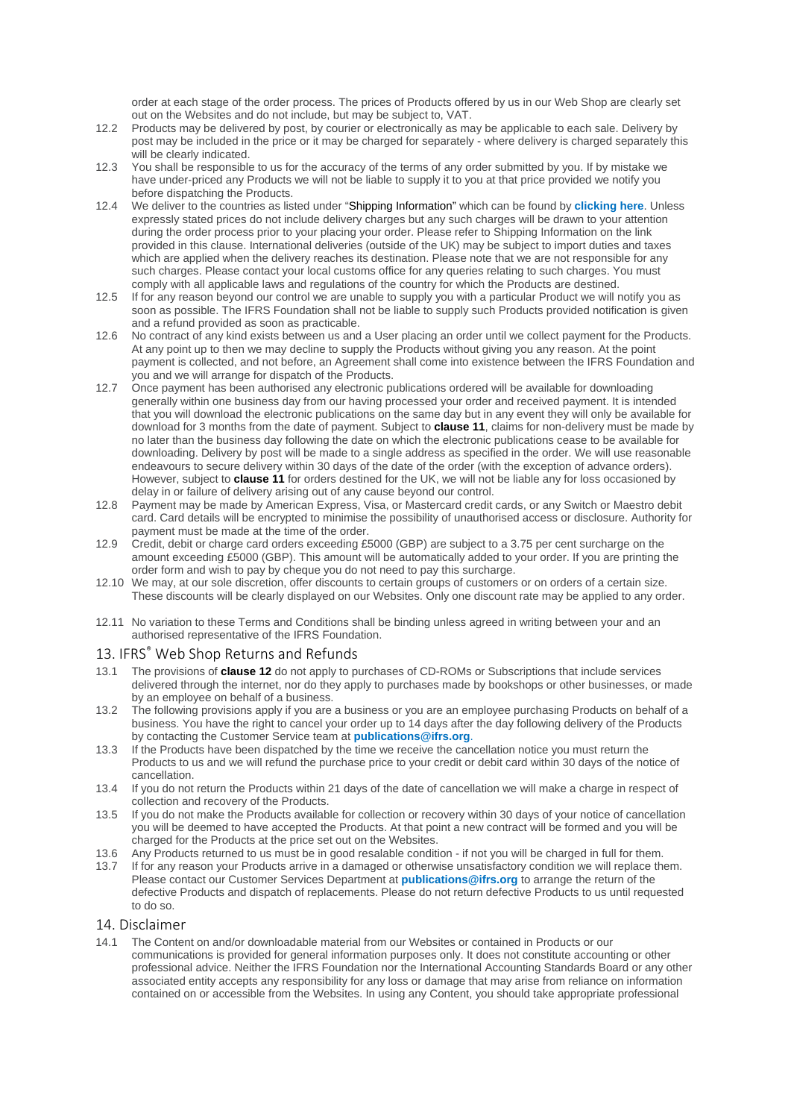order at each stage of the order process. The prices of Products offered by us in our Web Shop are clearly set out on the Websites and do not include, but may be subject to, VAT.

- 12.2 Products may be delivered by post, by courier or electronically as may be applicable to each sale. Delivery by post may be included in the price or it may be charged for separately - where delivery is charged separately this will be clearly indicated.
- 12.3 You shall be responsible to us for the accuracy of the terms of any order submitted by you. If by mistake we have under-priced any Products we will not be liable to supply it to you at that price provided we notify you before dispatching the Products.
- 12.4 We deliver to the countries as listed under "Shipping Information" which can be found by **[clicking](http://shop.ifrs.org/ProductCatalog/ShippingInformation.aspx) here**. Unless expressly stated prices do not include delivery charges but any such charges will be drawn to your attention during the order process prior to your placing your order. Please refer to Shipping Information on the link provided in this clause. International deliveries (outside of the UK) may be subject to import duties and taxes which are applied when the delivery reaches its destination. Please note that we are not responsible for any such charges. Please contact your local customs office for any queries relating to such charges. You must comply with all applicable laws and regulations of the country for which the Products are destined.
- 12.5 If for any reason beyond our control we are unable to supply you with a particular Product we will notify you as soon as possible. The IFRS Foundation shall not be liable to supply such Products provided notification is given and a refund provided as soon as practicable.
- 12.6 No contract of any kind exists between us and a User placing an order until we collect payment for the Products. At any point up to then we may decline to supply the Products without giving you any reason. At the point payment is collected, and not before, an Agreement shall come into existence between the IFRS Foundation and you and we will arrange for dispatch of the Products.
- 12.7 Once payment has been authorised any electronic publications ordered will be available for downloading generally within one business day from our having processed your order and received payment. It is intended that you will download the electronic publications on the same day but in any event they will only be available for download for 3 months from the date of payment. Subject to **clause 11**, claims for non-delivery must be made by no later than the business day following the date on which the electronic publications cease to be available for downloading. Delivery by post will be made to a single address as specified in the order. We will use reasonable endeavours to secure delivery within 30 days of the date of the order (with the exception of advance orders). However, subject to **clause 11** for orders destined for the UK, we will not be liable any for loss occasioned by delay in or failure of delivery arising out of any cause beyond our control.
- 12.8 Payment may be made by American Express, Visa, or Mastercard credit cards, or any Switch or Maestro debit card. Card details will be encrypted to minimise the possibility of unauthorised access or disclosure. Authority for payment must be made at the time of the order.
- 12.9 Credit, debit or charge card orders exceeding £5000 (GBP) are subject to a 3.75 per cent surcharge on the amount exceeding £5000 (GBP). This amount will be automatically added to your order. If you are printing the order form and wish to pay by cheque you do not need to pay this surcharge.
- 12.10 We may, at our sole discretion, offer discounts to certain groups of customers or on orders of a certain size. These discounts will be clearly displayed on our Websites. Only one discount rate may be applied to any order.
- 12.11 No variation to these Terms and Conditions shall be binding unless agreed in writing between your and an authorised representative of the IFRS Foundation.

## 13. IFRS® Web Shop Returns and Refunds

- 13.1 The provisions of **clause 12** do not apply to purchases of CD-ROMs or Subscriptions that include services delivered through the internet, nor do they apply to purchases made by bookshops or other businesses, or made by an employee on behalf of a business.
- 13.2 The following provisions apply if you are a business or you are an employee purchasing Products on behalf of a business. You have the right to cancel your order up to 14 days after the day following delivery of the Products by contacting the Customer Service team at **[publications@ifrs.org](mailto:publications@ifrs.org)**.
- 13.3 If the Products have been dispatched by the time we receive the cancellation notice you must return the Products to us and we will refund the purchase price to your credit or debit card within 30 days of the notice of cancellation.
- 13.4 If you do not return the Products within 21 days of the date of cancellation we will make a charge in respect of collection and recovery of the Products.
- 13.5 If you do not make the Products available for collection or recovery within 30 days of your notice of cancellation you will be deemed to have accepted the Products. At that point a new contract will be formed and you will be charged for the Products at the price set out on the Websites.
- 13.6 Any Products returned to us must be in good resalable condition if not you will be charged in full for them.
- 13.7 If for any reason your Products arrive in a damaged or otherwise unsatisfactory condition we will replace them. Please contact our Customer Services Department at **[publications@ifrs.org](mailto:publications@ifrs.org)** to arrange the return of the defective Products and dispatch of replacements. Please do not return defective Products to us until requested to do so.

## 14. Disclaimer

14.1 The Content on and/or downloadable material from our Websites or contained in Products or our communications is provided for general information purposes only. It does not constitute accounting or other professional advice. Neither the IFRS Foundation nor the International Accounting Standards Board or any other associated entity accepts any responsibility for any loss or damage that may arise from reliance on information contained on or accessible from the Websites. In using any Content, you should take appropriate professional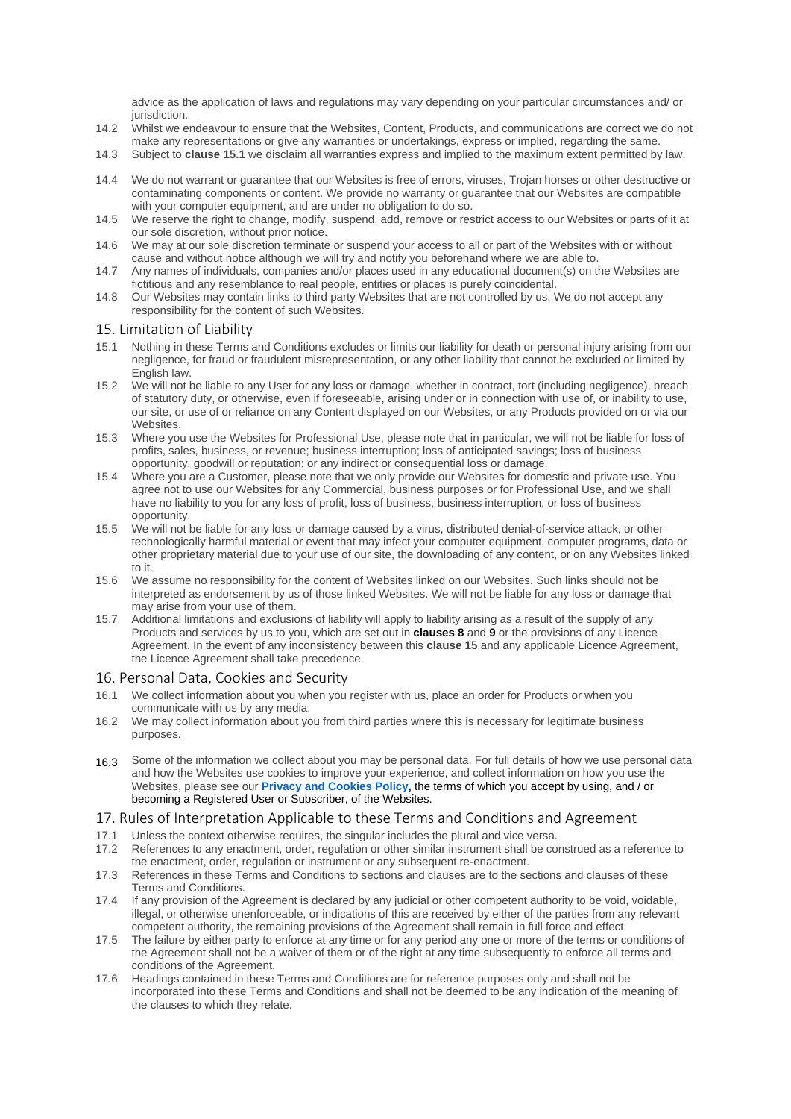advice as the application of laws and regulations may vary depending on your particular circumstances and/ or jurisdiction.

- 14.2 Whilst we endeavour to ensure that the Websites, Content, Products, and communications are correct we do not make any representations or give any warranties or undertakings, express or implied, regarding the same.
- 14.3 Subject to **clause 15.1** we disclaim all warranties express and implied to the maximum extent permitted by law.
- 14.4 We do not warrant or guarantee that our Websites is free of errors, viruses, Trojan horses or other destructive or contaminating components or content. We provide no warranty or guarantee that our Websites are compatible with your computer equipment, and are under no obligation to do so.
- 14.5 We reserve the right to change, modify, suspend, add, remove or restrict access to our Websites or parts of it at our sole discretion, without prior notice.
- 14.6 We may at our sole discretion terminate or suspend your access to all or part of the Websites with or without cause and without notice although we will try and notify you beforehand where we are able to.
- 14.7 Any names of individuals, companies and/or places used in any educational document(s) on the Websites are fictitious and any resemblance to real people, entities or places is purely coincidental.
- 14.8 Our Websites may contain links to third party Websites that are not controlled by us. We do not accept any responsibility for the content of such Websites.

## 15. Limitation of Liability

- Nothing in these Terms and Conditions excludes or limits our liability for death or personal injury arising from our negligence, for fraud or fraudulent misrepresentation, or any other liability that cannot be excluded or limited by English law.
- 15.2 We will not be liable to any User for any loss or damage, whether in contract, tort (including negligence), breach of statutory duty, or otherwise, even if foreseeable, arising under or in connection with use of, or inability to use, our site, or use of or reliance on any Content displayed on our Websites, or any Products provided on or via our Websites.
- 15.3 Where you use the Websites for Professional Use, please note that in particular, we will not be liable for loss of profits, sales, business, or revenue; business interruption; loss of anticipated savings; loss of business opportunity, goodwill or reputation; or any indirect or consequential loss or damage.
- 15.4 Where you are a Customer, please note that we only provide our Websites for domestic and private use. You agree not to use our Websites for any Commercial, business purposes or for Professional Use, and we shall have no liability to you for any loss of profit, loss of business, business interruption, or loss of business opportunity.
- 15.5 We will not be liable for any loss or damage caused by a virus, distributed denial-of-service attack, or other technologically harmful material or event that may infect your computer equipment, computer programs, data or other proprietary material due to your use of our site, the downloading of any content, or on any Websites linked to it.
- 15.6 We assume no responsibility for the content of Websites linked on our Websites. Such links should not be interpreted as endorsement by us of those linked Websites. We will not be liable for any loss or damage that may arise from your use of them.
- 15.7 Additional limitations and exclusions of liability will apply to liability arising as a result of the supply of any Products and services by us to you, which are set out in **clauses 8** and **9** or the provisions of any Licence Agreement. In the event of any inconsistency between this **clause 15** and any applicable Licence Agreement, the Licence Agreement shall take precedence.

#### 16. Personal Data, Cookies and Security

- 16.1 We collect information about you when you register with us, place an order for Products or when you communicate with us by any media.
- 16.2 We may collect information about you from third parties where this is necessary for legitimate business purposes.
- 16.3 Some of the information we collect about you may be personal data. For full details of how we use personal data and how the Websites use cookies to improve your experience, and collect information on how you use the Websites, please see our **[Privacy and Cookies Policy,](http://www.ifrs.org/legal/privacy/)** the terms of which you accept by using, and / or becoming a Registered User or Subscriber, of the Websites.

## 17. Rules of Interpretation Applicable to these Terms and Conditions and Agreement

- 17.1 Unless the context otherwise requires, the singular includes the plural and vice versa.
- 17.2 References to any enactment, order, regulation or other similar instrument shall be construed as a reference to the enactment, order, regulation or instrument or any subsequent re-enactment.
- 17.3 References in these Terms and Conditions to sections and clauses are to the sections and clauses of these Terms and Conditions.
- 17.4 If any provision of the Agreement is declared by any judicial or other competent authority to be void, voidable, illegal, or otherwise unenforceable, or indications of this are received by either of the parties from any relevant competent authority, the remaining provisions of the Agreement shall remain in full force and effect.
- 17.5 The failure by either party to enforce at any time or for any period any one or more of the terms or conditions of the Agreement shall not be a waiver of them or of the right at any time subsequently to enforce all terms and conditions of the Agreement.
- 17.6 Headings contained in these Terms and Conditions are for reference purposes only and shall not be incorporated into these Terms and Conditions and shall not be deemed to be any indication of the meaning of the clauses to which they relate.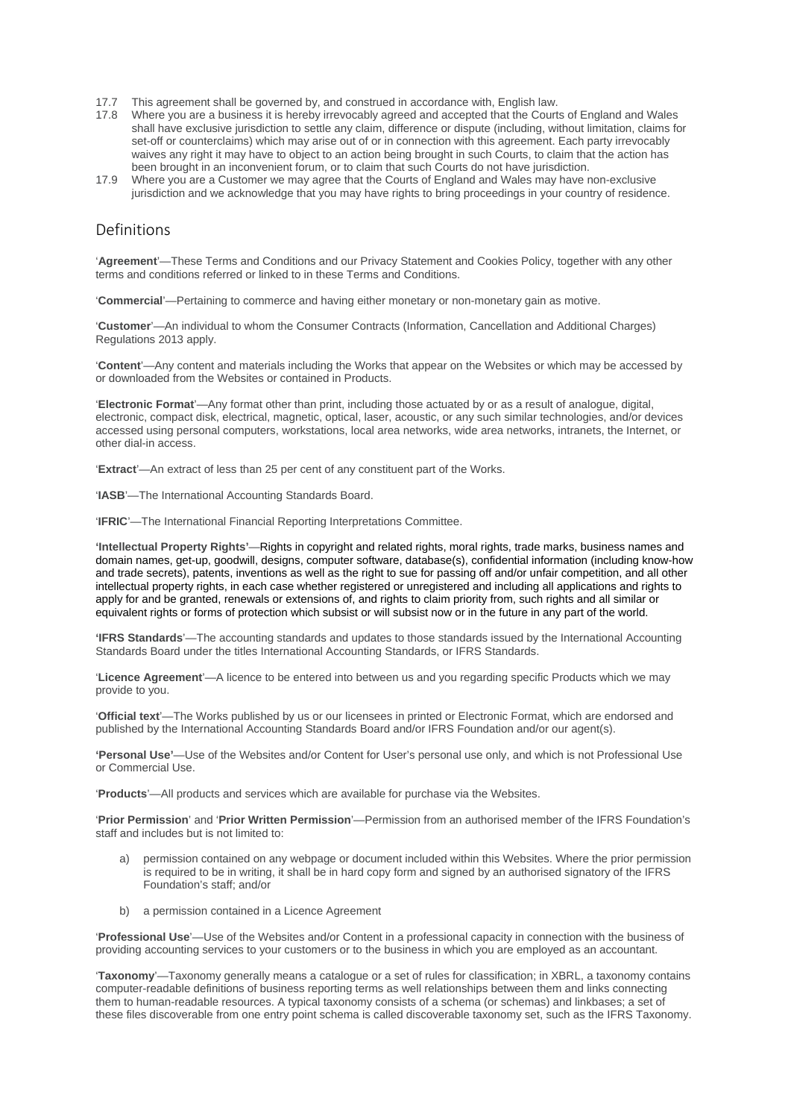- 17.7 This agreement shall be governed by, and construed in accordance with, English law.
- 17.8 Where you are a business it is hereby irrevocably agreed and accepted that the Courts of England and Wales shall have exclusive jurisdiction to settle any claim, difference or dispute (including, without limitation, claims for set-off or counterclaims) which may arise out of or in connection with this agreement. Each party irrevocably waives any right it may have to object to an action being brought in such Courts, to claim that the action has been brought in an inconvenient forum, or to claim that such Courts do not have jurisdiction.
- 17.9 Where you are a Customer we may agree that the Courts of England and Wales may have non-exclusive jurisdiction and we acknowledge that you may have rights to bring proceedings in your country of residence.

# Definitions

'**Agreement**'—These Terms and Conditions and our Privacy Statement and Cookies Policy, together with any other terms and conditions referred or linked to in these Terms and Conditions.

'**Commercial**'—Pertaining to commerce and having either monetary or non-monetary gain as motive.

'**Customer**'—An individual to whom the Consumer Contracts (Information, Cancellation and Additional Charges) Regulations 2013 apply.

'**Content**'—Any content and materials including the Works that appear on the Websites or which may be accessed by or downloaded from the Websites or contained in Products.

'**Electronic Format**'—Any format other than print, including those actuated by or as a result of analogue, digital, electronic, compact disk, electrical, magnetic, optical, laser, acoustic, or any such similar technologies, and/or devices accessed using personal computers, workstations, local area networks, wide area networks, intranets, the Internet, or other dial-in access.

'**Extract**'—An extract of less than 25 per cent of any constituent part of the Works.

'**IASB**'—The International Accounting Standards Board.

'**IFRIC**'—The International Financial Reporting Interpretations Committee.

**'Intellectual Property Rights'**—Rights in copyright and related rights, moral rights, trade marks, business names and domain names, get-up, goodwill, designs, computer software, database(s), confidential information (including know-how and trade secrets), patents, inventions as well as the right to sue for passing off and/or unfair competition, and all other intellectual property rights, in each case whether registered or unregistered and including all applications and rights to apply for and be granted, renewals or extensions of, and rights to claim priority from, such rights and all similar or equivalent rights or forms of protection which subsist or will subsist now or in the future in any part of the world.

**'IFRS Standards**'—The accounting standards and updates to those standards issued by the International Accounting Standards Board under the titles International Accounting Standards, or IFRS Standards.

'**Licence Agreement**'—A licence to be entered into between us and you regarding specific Products which we may provide to you.

'**Official text**'—The Works published by us or our licensees in printed or Electronic Format, which are endorsed and published by the International Accounting Standards Board and/or IFRS Foundation and/or our agent(s).

**'Personal Use'**—Use of the Websites and/or Content for User's personal use only, and which is not Professional Use or Commercial Use.

'**Products**'—All products and services which are available for purchase via the Websites.

'**Prior Permission**' and '**Prior Written Permission**'—Permission from an authorised member of the IFRS Foundation's staff and includes but is not limited to:

- a) permission contained on any webpage or document included within this Websites. Where the prior permission is required to be in writing, it shall be in hard copy form and signed by an authorised signatory of the IFRS Foundation's staff; and/or
- b) a permission contained in a Licence Agreement

'**Professional Use**'—Use of the Websites and/or Content in a professional capacity in connection with the business of providing accounting services to your customers or to the business in which you are employed as an accountant.

'**Taxonomy**'—Taxonomy generally means a catalogue or a set of rules for classification; in XBRL, a taxonomy contains computer-readable definitions of business reporting terms as well relationships between them and links connecting them to human-readable resources. A typical taxonomy consists of a schema (or schemas) and linkbases; a set of these files discoverable from one entry point schema is called discoverable taxonomy set, such as the IFRS Taxonomy.